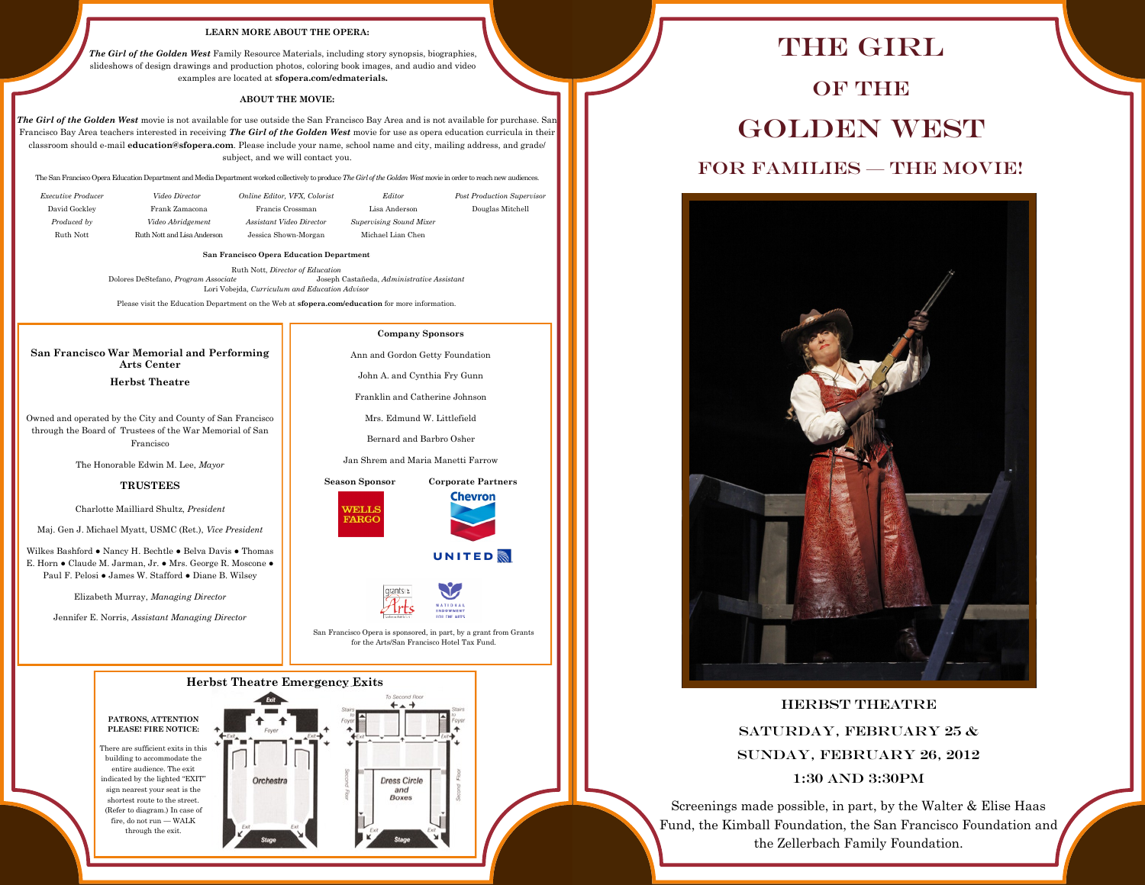### **LEARN MORE ABOUT THE OPERA:**

*The Girl of the Golden West* Family Resource Materials, including story synopsis, biographies, slideshows of design drawings and production photos, coloring book images, and audio and video examples are located at **sfopera.com/edmaterials.**

### **ABOUT THE MOVIE:**

*The Girl of the Golden West* movie is not available for use outside the San Francisco Bay Area and is not available for purchase. San Francisco Bay Area teachers interested in receiving *The Girl of the Golden West* movie for use as opera education curricula in their classroom should e-mail **education@sfopera.com**. Please include your name, school name and city, mailing address, and grade/ subject, and we will contact you.

The San Francisco Opera Education Department and Media Department worked collectively to produce *The Girl of the Golden West* movie in order to reach new audiences.

| <i>Executive Producer</i> | Video Director              | Online Editor, VFX, Colorist | Editor                  | <b>Post Production Supervisor</b> |
|---------------------------|-----------------------------|------------------------------|-------------------------|-----------------------------------|
| David Gockley             | Frank Zamacona              | Francis Crossman             | Lisa Anderson           | Douglas Mitchell                  |
| Produced by               | Video Abridgement           | Assistant Video Director     | Supervising Sound Mixer |                                   |
| Ruth Nott                 | Ruth Nott and Lisa Anderson | Jessica Shown-Morgan         | Michael Lian Chen       |                                   |

**San Francisco Opera Education Department**

Ruth Nott, *Director of Education* Dolores DeStefano, *Program Associate* Joseph Castañeda, *Administrative Assistant* Lori Vobejda, *Curriculum and Education Advisor*

Please visit the Education Department on the Web at **sfopera.com/education** for more information.

#### **San Francisco War Memorial and Performing Arts Center**

**Herbst Theatre**

Owned and operated by the City and County of San Francisco through the Board of Trustees of the War Memorial of San Francisco

The Honorable Edwin M. Lee, *Mayor*

### **TRUSTEES**

Charlotte Mailliard Shultz, *President*

Maj. Gen J. Michael Myatt, USMC (Ret.), *Vice President*

Wilkes Bashford ● Nancy H. Bechtle ● Belva Davis ● Thomas E. Horn ● Claude M. Jarman, Jr. ● Mrs. George R. Moscone ● Paul F. Pelosi ● James W. Stafford ● Diane B. Wilsey

Elizabeth Murray, *Managing Director*

Jennifer E. Norris, *Assistant Managing Director*

**Company Sponsors** Ann and Gordon Getty Foundation

John A. and Cynthia Fry Gunn

Franklin and Catherine Johnson

Mrs. Edmund W. Littlefield

Bernard and Barbro Osher

Jan Shrem and Maria Manetti Farrow





**UNITED** 



San Francisco Opera is sponsored, in part, by a grant from Grants for the Arts/San Francisco Hotel Tax Fund.



# THE GIRL OF THE Golden West FOR FAMILIES — THE MOVIE!



Herbst Theatre SATURDAY, FEBRUARY 25  $\&$ Sunday, February 26, 2012 1:30 and 3:30pm

Screenings made possible, in part, by the Walter & Elise Haas Fund, the Kimball Foundation, the San Francisco Foundation and the Zellerbach Family Foundation.